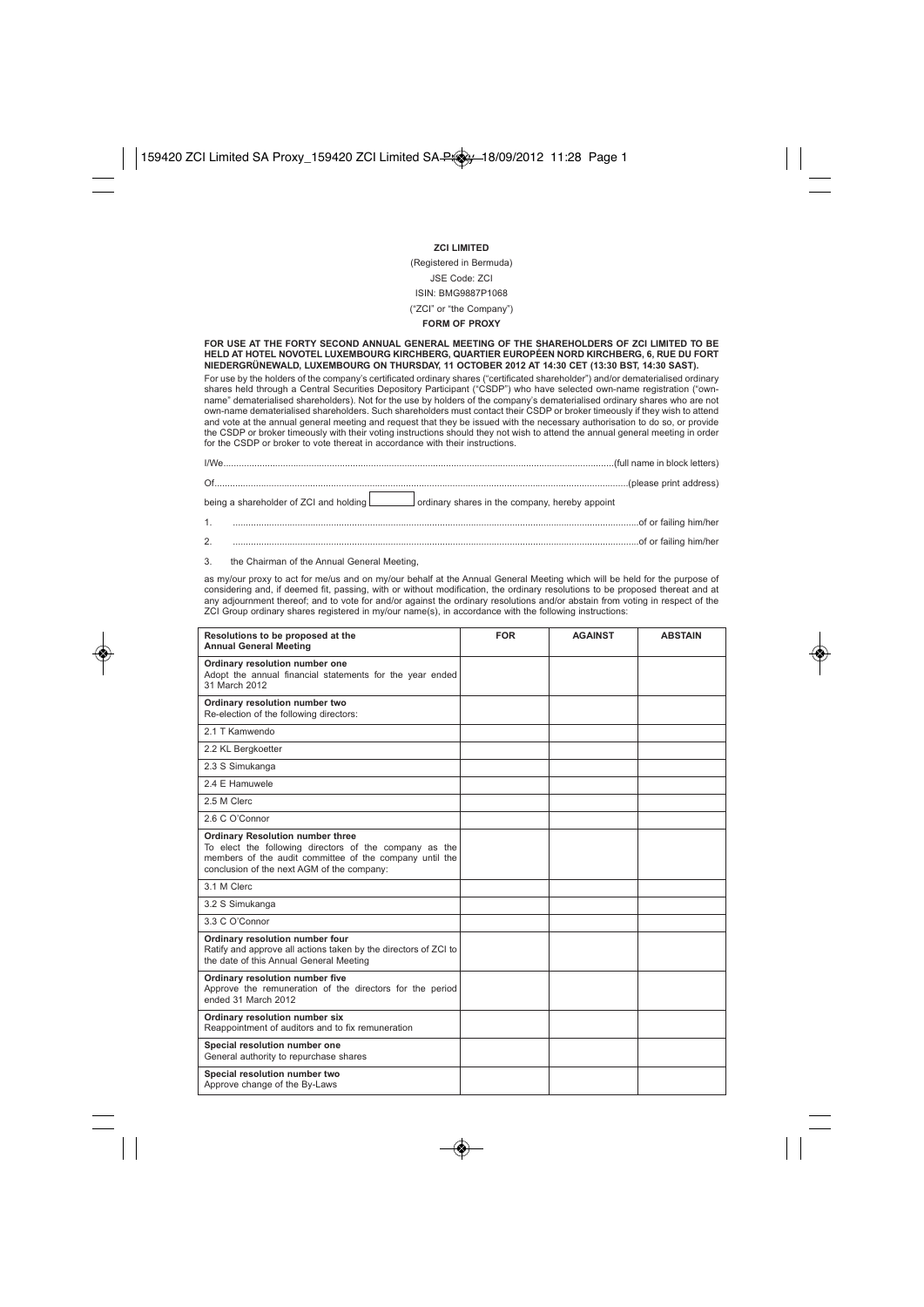**ZCI LIMITED** (Registered in Bermuda) JSE Code: ZCI ISIN: BMG9887P1068 ("ZCI" or "the Company")

## **FORM OF PROXY**

**FOR USE AT THE FORTY SECOND ANNUAL GENERAL MEETING OF THE SHAREHOLDERS OF ZCI LIMITED TO BE HELD AT HOTEL NOVOTEL LUXEMBOURG KIRCHBERG, QUARTIER EUROPÉEN NORD KIRCHBERG, 6, RUE DU FORT NIEDERGRÜNEWALD, LUXEMBOURG ON THURSDAY, 11 OCTOBER 2012 AT 14:30 CET (13:30 BST, 14:30 SAST).**

For use by the holders of the company's certificated ordinary shares ("certificated shareholder") and/or dematerialised ordinary shares held through a Central Securities Depository Participant ("CSDP") who have selected own-name registration ("ownname" dematerialised shareholders). Not for the use by holders of the company's dematerialised ordinary shares who are not own-name dematerialised shareholders. Such shareholders must contact their CSDP or broker timeously if they wish to attend and vote at the annual general meeting and request that they be issued with the necessary authorisation to do so, or provide the CSDP or broker timeously with their voting instructions should they not wish to attend the annual general meeting in order for the CSDP or broker to vote thereat in accordance with their instructions.

|    | being a shareholder of ZCI and holding ordinary shares in the company, hereby appoint |
|----|---------------------------------------------------------------------------------------|
|    |                                                                                       |
| 2. |                                                                                       |

3. the Chairman of the Annual General Meeting,

as my/our proxy to act for me/us and on my/our behalf at the Annual General Meeting which will be held for the purpose of considering and, if deemed fit, passing, with or without modification, the ordinary resolutions to be proposed thereat and at any adjournment thereof; and to vote for and/or against the ordinary resolutions and/or abstain from voting in respect of the ZCI Group ordinary shares registered in my/our name(s), in accordance with the following instructions:

| Resolutions to be proposed at the<br><b>Annual General Meeting</b>                                                                                                                                         | <b>FOR</b> | <b>AGAINST</b> | <b>ABSTAIN</b> |
|------------------------------------------------------------------------------------------------------------------------------------------------------------------------------------------------------------|------------|----------------|----------------|
| Ordinary resolution number one<br>Adopt the annual financial statements for the year ended<br>31 March 2012                                                                                                |            |                |                |
| Ordinary resolution number two<br>Re-election of the following directors:                                                                                                                                  |            |                |                |
| 2.1 T Kamwendo                                                                                                                                                                                             |            |                |                |
| 2.2 KL Bergkoetter                                                                                                                                                                                         |            |                |                |
| 2.3 S Simukanga                                                                                                                                                                                            |            |                |                |
| 2.4 E Hamuwele                                                                                                                                                                                             |            |                |                |
| 2.5 M Clerc                                                                                                                                                                                                |            |                |                |
| 2.6 C O'Connor                                                                                                                                                                                             |            |                |                |
| <b>Ordinary Resolution number three</b><br>To elect the following directors of the company as the<br>members of the audit committee of the company until the<br>conclusion of the next AGM of the company: |            |                |                |
| 3.1 M Clerc                                                                                                                                                                                                |            |                |                |
| 3.2 S Simukanga                                                                                                                                                                                            |            |                |                |
| 3.3 C O'Connor                                                                                                                                                                                             |            |                |                |
| Ordinary resolution number four<br>Ratify and approve all actions taken by the directors of ZCI to<br>the date of this Annual General Meeting                                                              |            |                |                |
| Ordinary resolution number five<br>Approve the remuneration of the directors for the period<br>ended 31 March 2012                                                                                         |            |                |                |
| Ordinary resolution number six<br>Reappointment of auditors and to fix remuneration                                                                                                                        |            |                |                |
| Special resolution number one<br>General authority to repurchase shares                                                                                                                                    |            |                |                |
| Special resolution number two<br>Approve change of the By-Laws                                                                                                                                             |            |                |                |